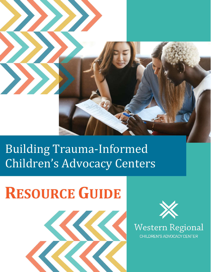

# Building Trauma-Informed Children's Advocacy Centers

# **RESOURCE GUIDE**





**Western Regional** CHILDREN'S ADVOCACY CENTER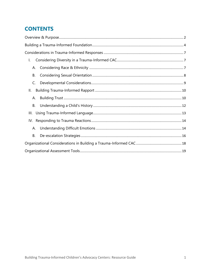# **CONTENTS**

| I.        |  |
|-----------|--|
| А.        |  |
| В.        |  |
| C.        |  |
| II.       |  |
| А.        |  |
| <b>B.</b> |  |
|           |  |
|           |  |
| А.        |  |
| <b>B.</b> |  |
|           |  |
|           |  |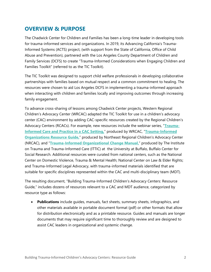# <span id="page-2-0"></span>**OVERVIEW & PURPOSE**

The Chadwick Center for Children and Families has been a long-time leader in developing tools for trauma-informed services and organizations. In 2019, its Advancing California's Trauma-Informed Systems (ACTS) project, (with support from the State of California, Office of Child Abuse and Prevention), partnered with the Los Angeles County Department of Children and Family Services (DCFS) to create "Trauma-Informed Considerations when Engaging Children and Families Toolkit" (referred to as the TIC Toolkit).

The TIC Toolkit was designed to support child welfare professionals in developing collaborative partnerships with families based on mutual respect and a common commitment to healing. The resources were chosen to aid Los Angeles DCFS in implementing a trauma-informed approach when interacting with children and families locally and improving outcomes through increasing family engagement.

To advance cross-sharing of lessons among Chadwick Center projects, Western Regional Children's Advocacy Center (WRCAC) adapted the TIC Toolkit for use in a children's advocacy center (CAC) environment by adding CAC-specific resources created by the Regional Children's Advocacy Centers (RCACs). For example, new resources include the webinar series, "**[Trauma-](https://www.westernregionalcac.org/training/webinars/)Informed Care [and Practice in a CAC Setting,](https://www.westernregionalcac.org/training/webinars/)**" produced by WRCAC, "**[Trauma-Informed](http://www.nrcac.org/wp-content/uploads/2021/06/trauma-informed-organizations-guide-2021.pdf)  [Organizations Resource Guide,](http://www.nrcac.org/wp-content/uploads/2021/06/trauma-informed-organizations-guide-2021.pdf)"** produced by Northeast Regional Children's Advocacy Center (NRCAC), and "**[Trauma-Informed Organizational Change Manual,](http://socialwork.buffalo.edu/social-research/institutes-centers/institute-on-trauma-and-trauma-informed-care/Trauma-Informed-Organizational-Change-Manual0.html)**" produced by The Institute on Trauma and Trauma-Informed Care (ITTIC) at the University at Buffalo, Buffalo Center for Social Research. Additional resources were curated from national centers, such as the National Center on Domestic Violence, Trauma & Mental Health; National Center on Law & Elder Rights; and Trauma-Informed Legal Advocacy, with trauma-informed materials identified that are suitable for specific disciplines represented within the CAC and multi-disciplinary team (MDT).

The resulting document, "Building Trauma-Informed Children's Advocacy Centers: Resource Guide," includes dozens of resources relevant to a CAC and MDT audience, categorized by resource type as follows:

**Publications** include guides, manuals, fact sheets, summary sheets, infographics, and other materials available in portable document format (pdf) or other formats that allow for distribution electronically and as a printable resource. Guides and manuals are longer documents that may require significant time to thoroughly review and are designed to assist CAC leaders in organizational and systemic change.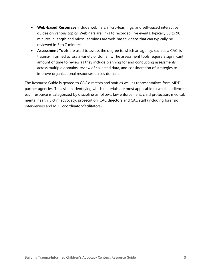- **Web-based Resources** include webinars, micro-learnings, and self-paced interactive guides on various topics. Webinars are links to recorded, live events, typically 60 to 90 minutes in length and micro-learnings are web-based videos that can typically be reviewed in 5 to 7 minutes.
- **Assessment Tools** are used to assess the degree to which an agency, such as a CAC, is trauma-informed across a variety of domains. The assessment tools require a significant amount of time to review as they include planning for and conducting assessments across multiple domains, review of collected data, and consideration of strategies to improve organizational responses across domains.

The Resource Guide is geared to CAC directors and staff as well as representatives from MDT partner agencies. To assist in identifying which materials are most applicable to which audience, each resource is categorized by discipline as follows: law enforcement, child protection, medical, mental health, victim advocacy, prosecution, CAC directors and CAC staff (including forensic interviewers and MDT coordinator/facilitators).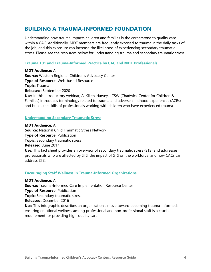# <span id="page-4-0"></span>**BUILDING A TRAUMA-INFORMED FOUNDATION**

Understanding how trauma impacts children and families is the cornerstone to quality care within a CAC. Additionally, MDT members are frequently exposed to trauma in the daily tasks of the job, and this exposure can increase the likelihood of experiencing secondary traumatic stress. Please see the resources below for understanding trauma and secondary traumatic stress.

# **[Trauma 101 and Trauma-Informed Practice by CAC and MDT Professionals](http://www.westernregionalcac.org/training/webinars/)**

**MDT Audience:** All **Source:** Western Regional Children's Advocacy Center **Type of Resource:** Web-based Resource **Topic:** Trauma **Released:** September 2020 **Use:** In this introductory webinar, Al Killen-Harvey, LCSW (Chadwick Center for Children &

Families) introduces terminology related to trauma and adverse childhood experiences (ACEs) and builds the skills of professionals working with children who have experienced trauma.

# **[Understanding Secondary Traumatic Stress](https://www.nctsn.org/sites/default/files/resources/fact-sheet/cac_understanding_secondary_traumatic_stress.pdf)**

**MDT Audience:** All **Source:** National Child Traumatic Stress Network **Type of Resource:** Publication **Topic:** Secondary traumatic stress **Released**: June 2017 **Use:** This fact sheet provides an overview of secondary traumatic stress (STS) and addresses professionals who are affected by STS, the impact of STS on the workforce, and how CACs can address STS.

# **[Encouraging Staff Wellness in Trauma-Informed Organizations](https://www.traumainformedcare.chcs.org/wp-content/uploads/2018/11/Infographic-Staff-Wellness.pdf)**

**MDT Audience:** All **Source:** Trauma-Informed Care Implementation Resource Center **Type of Resource:** Publication **Topic:** Secondary traumatic stress **Released:** December 2016 **Use:** This infographic describes an organization's move toward becoming trauma-informed; ensuring emotional wellness among professional and non-professional staff is a crucial requirement for providing high-quality care.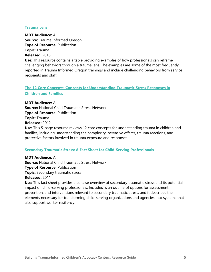# **[Trauma Lens](https://traumainformedoregon.org/wp-content/uploads/2016/01/Trauma-Lens-Exercise.pdf)**

**MDT Audience:** All **Source:** Trauma Informed Oregon **Type of Resource:** Publication **Topic:** Trauma **Released**: 2016

**Use:** This resource contains a table providing examples of how professionals can reframe challenging behaviors through a trauma lens. The examples are some of the most frequently reported in Trauma Informed Oregon trainings and include challenging behaviors from service recipients and staff.

# **[The 12 Core Concepts: Concepts for Understanding Traumatic Stress Responses in](https://www.nctsn.org/sites/default/files/resources/the_12_core_concepts_for_understanding_traumatic_stress_responses_in_children_and_families.pdf)  [Children and Families](https://www.nctsn.org/sites/default/files/resources/the_12_core_concepts_for_understanding_traumatic_stress_responses_in_children_and_families.pdf)**

**MDT Audience:** All **Source:** National Child Traumatic Stress Network **Type of Resource:** Publication **Topic:** Trauma **Released:** 2012

**Use:** This 5-page resource reviews 12 core concepts for understanding trauma in children and families, including understanding the complexity, pervasive effects, trauma reactions, and protective factors involved in trauma exposure and responses.

# **[Secondary Traumatic Stress: A Fact Sheet for Child-Serving Professionals](https://www.nctsn.org/sites/default/files/resources/fact-sheet/secondary_traumatic_stress_child_serving_professionals.pdf)**

**MDT Audience:** All **Source:** National Child Traumatic Stress Network **Type of Resource:** Publication **Topic:** Secondary traumatic stress **Released:** 2011

**Use:** This fact sheet provides a concise overview of secondary traumatic stress and its potential impact on child-serving professionals. Included is an outline of options for assessment, prevention, and interventions relevant to secondary traumatic stress, and it describes the elements necessary for transforming child-serving organizations and agencies into systems that also support worker resiliency.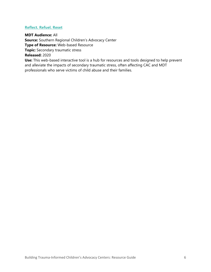# **[Reflect. Refuel. Reset](https://www.srcac.org/reflect-refuel-reset/)**

**MDT Audience:** All **Source:** Southern Regional Children's Advocacy Center **Type of Resource:** Web-based Resource **Topic:** Secondary traumatic stress **Released:** 2020

**Use:** This web-based interactive tool is a hub for resources and tools designed to help prevent and alleviate the impacts of secondary traumatic stress, often affecting CAC and MDT professionals who serve victims of child abuse and their families.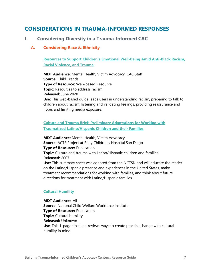# <span id="page-7-0"></span>**CONSIDERATIONS IN TRAUMA-INFORMED RESPONSES**

# <span id="page-7-1"></span>**I. Considering Diversity in a Trauma-Informed CAC**

# <span id="page-7-2"></span>**A. Considering Race & Ethnicity**

**[Resources to Support Children's Emotional Well](https://www.childtrends.org/publications/resources-to-support-childrens-emotional-well-being-amid-anti-black-racism-racial-violence-and-trauma)-Being Amid Anti-Black Racism, [Racial Violence, and Trauma](https://www.childtrends.org/publications/resources-to-support-childrens-emotional-well-being-amid-anti-black-racism-racial-violence-and-trauma)**

**MDT Audience:** Mental Health, Victim Advocacy, CAC Staff **Source:** Child Trends **Type of Resource:** Web-based Resource **Topic:** Resources to address racism **Released:** June 2020 **Use:** This web-based guide leads users in understanding racism, preparing to talk to children about racism, listening and validating feelings, providing reassurance and hope, and limiting media exposure.

# **[Culture and Trauma Brief: Preliminary Adaptations for Working with](https://www.canva.com/design/DAEPTioyWcE/kDAujLj_g6Dp8P1IYpYpvw/view?utm_content=DAEPTioyWcE&utm_campaign=designshare&utm_medium=link&utm_source=publishsharelink)  [Traumatized Latino/Hispanic Children and their Families](https://www.canva.com/design/DAEPTioyWcE/kDAujLj_g6Dp8P1IYpYpvw/view?utm_content=DAEPTioyWcE&utm_campaign=designshare&utm_medium=link&utm_source=publishsharelink)**

**MDT Audience:** Mental Health, Victim Advocacy **Source:** ACTS Project at Rady Children's Hospital San Diego **Type of Resource:** Publication **Topic:** Culture and trauma with Latino/Hispanic children and families **Released:** 2007 **Use:** This summary sheet was adapted from the NCTSN and will educate the reader on the Latino/Hispanic presence and experiences in the United States, make treatment recommendations for working with families, and think about future directions for treatment with Latino/Hispanic families.

# **[Cultural Humility](https://ncwwi.org/index.php/resourcemenu/resource-library/inclusivity-racial-equity/cultural-responsiveness/1415-cultural-humility-practice-principles/file)**

**MDT Audience:** All **Source:** National Child Welfare Workforce Institute **Type of Resource:** Publication **Topic:** Cultural humility **Released:** Unknown **Use**: This 1-page tip sheet reviews ways to create practice change with cultural humility in mind.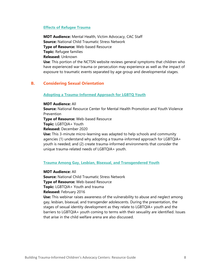# **[Effects of Refugee Trauma](https://www.nctsn.org/what-is-child-trauma/trauma-types/refugee-trauma/effects)**

**MDT Audience:** Mental Health, Victim Advocacy, CAC Staff **Source:** National Child Traumatic Stress Network **Type of Resource:** Web-based Resource **Topic:** Refugee families **Released:** Unknown **Use**: This portion of the NCTSN website reviews general symptoms that children who have experienced war trauma or persecution may experience as well as the impact of exposure to traumatic events separated by age group and developmental stages.

# <span id="page-8-0"></span>**B. Considering Sexual Orientation**

#### **[Adopting a Trauma-Informed Approach for LGBTQ Youth](https://www.canva.com/design/DAEPw9IGfcs/640-7T6SKQPao8CjjEzoQg/view?utm_content=DAEPw9IGfcs&utm_campaign=designshare&utm_medium=link&utm_source=recording_view)**

#### **MDT Audience:** All

**Source:** National Resource Center for Mental Health Promotion and Youth Violence Prevention

**Type of Resource:** Web-based Resource

**Topic:** LGBTQIA+ Youth

**Released:** December 2020

**Use:** This 3-minute micro-learning was adapted to help schools and community agencies (1) understand why adopting a trauma-informed approach for LGBTQIA+ youth is needed; and (2) create trauma-informed environments that consider the unique trauma-related needs of LGBTQIA+ youth.

## **[Trauma Among Gay, Lesbian, Bisexual, and Transgendered Youth](https://learn.nctsn.org/mod/nctsnwebinar/view.php?id=10101)**

# **MDT Audience:** All

**Source:** National Child Traumatic Stress Network **Type of Resource:** Web-based Resource **Topic:** LGBTQIA+ Youth and trauma **Released:** February 2016

**Use:** This webinar raises awareness of the vulnerability to abuse and neglect among gay, lesbian, bisexual, and transgender adolescents. During the presentation, the stages of sexual identity development as they relate to LGBTQIA+ youth and the barriers to LGBTQIA+ youth coming to terms with their sexuality are identified. Issues that arise in the child welfare arena are also discussed.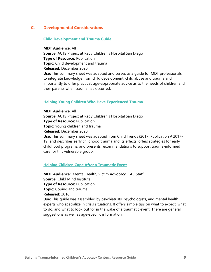# <span id="page-9-0"></span>**C. Developmental Considerations**

### **[Child Development and Trauma Guide](https://www.canva.com/design/DAEQC2NQ5E8/OStY0_Uvr38ukNwD1GIwJg/view?utm_content=DAEQC2NQ5E8&utm_campaign=designshare&utm_medium=link&utm_source=publishsharelink)**

**MDT Audience:** All **Source:** ACTS Project at Rady Children's Hospital San Diego **Type of Resource:** Publication **Topic:** Child development and trauma **Released:** December 2020 **Use:** This summary sheet was adapted and serves as a guide for MDT professionals to integrate knowledge from child development, child abuse and trauma and importantly to offer practical, age-appropriate advice as to the needs of children and their parents when trauma has occurred.

#### **Helping Young Children Who Have Experienced Trauma**

**MDT Audience:** All **Source:** ACTS Project at Rady Children's Hospital San Diego **Type of Resource:** Publication **Topic:** Young children and trauma **Released:** December 2020 **Use:** This summary sheet was adapted from Child Trends (2017; Publication # 2017- 19) and describes early childhood trauma and its effects, offers strategies for early childhood programs, and presents recommendations to support trauma-informed care for this vulnerable group.

### **[Helping Children Cope After a Traumatic Event](http://childmind.org/wp-content/uploads/Child-Mind-Intitute-Parents-Guide-Traumatic-Event.pdf)**

**MDT Audience:** Mental Health, Victim Advocacy, CAC Staff **Source:** Child Mind Institute **Type of Resource:** Publication **Topic:** Coping and trauma **Released:** 2016 **Use:** This guide was assembled by psychiatrists, psychologists, and mental health experts who specialize in crisis situations. It offers simple tips on what to expect, what to do, and what to look out for in the wake of a traumatic event. There are general suggestions as well as age-specific information.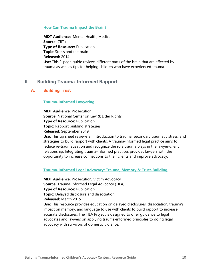### **[How Can Trauma Impact the Brain?](https://tfcbt.org/wp-content/uploads/2018/05/Trauma-and-the-Brain-Handout-2014.pdf)**

**MDT Audience:** Mental Health, Medical **Source:** CBT+ **Type of Resource:** Publication **Topic**: Stress and the brain **Released:** 2014 **Use:** This 2-page guide reviews different parts of the brain that are affected by trauma as well as tips for helping children who have experienced trauma.

# <span id="page-10-0"></span>**II. Building Trauma-Informed Rapport**

# <span id="page-10-1"></span>**A. Building Trust**

# **[Trauma-Informed Lawyering](https://ncler.acl.gov/Files/Trauma-Informed-Lawyering.aspx)**

**MDT Audience:** Prosecution **Source:** National Center on Law & Elder Rights **Type of Resource: Publication Topic:** Rapport building strategies **Released:** September 2019 **Use:** This tip sheet reviews an introduction to trauma, secondary traumatic stress, and strategies to build rapport with clients. A trauma-informed legal practice aims to reduce re-traumatization and recognize the role trauma plays in the lawyer-client relationship. Integrating trauma-informed practices provides lawyers with the opportunity to increase connections to their clients and improve advocacy.

#### **[Trauma-Informed Legal Advocacy: Trauma, Memory & Trust-Building](http://www.nationalcenterdvtraumamh.org/wp-content/uploads/2013/08/TILA_Trauma_Memory_TrustBuildingApr22.pdf)**

**MDT Audience:** Prosecution, Victim Advocacy **Source:** Trauma-Informed Legal Advocacy (TILA) **Type of Resource:** Publication **Topic:** Delayed disclosure and dissociation **Released:** March 2015 **Use:** This resource provides education on delayed disclosures, dissociation, trauma's impact on memory, and language to use with clients to build rapport to increase accurate disclosures. The TILA Project is designed to offer guidance to legal advocates and lawyers on applying trauma-informed principles to doing legal advocacy with survivors of domestic violence.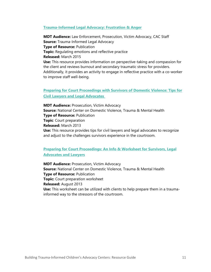#### **[Trauma-Informed Legal Advocacy: Frustration & Anger](http://www.nationalcenterdvtraumamh.org/wp-content/uploads/2013/08/TILA_ReflectivePractice_Apr22.pdf)**

**MDT Audience:** Law Enforcement, Prosecution, Victim Advocacy, CAC Staff **Source:** Trauma-Informed Legal Advocacy **Type of Resource:** Publication **Topic:** Regulating emotions and reflective practice **Released:** March 2015 **Use:** This resource provides information on perspective-taking and compassion for the client and reviews burnout and secondary traumatic stress for providers. Additionally, it provides an activity to engage in reflective practice with a co-worker to improve staff well-being.

# **[Preparing for Court Proceedings with Survivors of Domestic Violence: Tips for](http://www.nationalcenterdvtraumamh.org/wp-content/uploads/2013/03/NCDVTMH-2013-Preparing-for-Court-Proceedings.pdf)  [Civil Lawyers and Legal Advocates](http://www.nationalcenterdvtraumamh.org/wp-content/uploads/2013/03/NCDVTMH-2013-Preparing-for-Court-Proceedings.pdf)**

**MDT Audience:** Prosecution, Victim Advocacy **Source:** National Center on Domestic Violence, Trauma & Mental Health **Type of Resource: Publication Topic**: Court preparation **Released:** March 2013 **Use:** This resource provides tips for civil lawyers and legal advocates to recognize and adjust to the challenges survivors experience in the courtroom.

# **[Preparing for Court Proceedings: An Info & Worksheet for Survivors, Legal](http://www.nationalcenterdvtraumamh.org/wp-content/uploads/2013/09/Preparing-for-Court-short-handout-Aug2013-updatedSept13.doc)  [Advocates and Lawyers](http://www.nationalcenterdvtraumamh.org/wp-content/uploads/2013/09/Preparing-for-Court-short-handout-Aug2013-updatedSept13.doc)**

**MDT Audience:** Prosecution, Victim Advocacy **Source:** National Center on Domestic Violence, Trauma & Mental Health **Type of Resource:** Publication **Topic:** Court preparation worksheet **Released:** August 2013 **Use:** This worksheet can be utilized with clients to help prepare them in a traumainformed way to the stressors of the courtroom.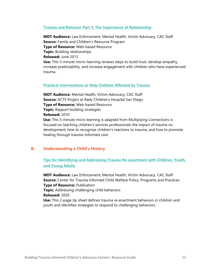#### **[Trauma and Behavior Part 3: The Importance of Relationship](https://www.youtube.com/watch?v=g7hq9ujeIwM)**

**MDT Audience:** Law Enforcement, Mental Health, Victim Advocacy, CAC Staff **Source:** Family and Children's Resource Program **Type of Resource:** Web-based Resource **Topic:** Building relationships **Released:** June 2013 **Use:** This 5-minute micro-learning reviews steps to build trust, develop empathy, increase predictability, and increase engagement with children who have experienced trauma.

#### **[Practical Interventions to Help Children Affected by Trauma](https://www.canva.com/design/DAEOvsuF6Mc/FiHjHKMvy10N6fs0JR6axg/view?utm_content=DAEOvsuF6Mc&utm_campaign=designshare&utm_medium=link&utm_source=recording_view)**

**MDT Audience:** Mental Health, Victim Advocacy, CAC Staff **Source:** ACTS Project at Rady Children's Hospital San Diego **Type of Resource:** Web-based Resource **Topic:** Rapport building strategies **Released:** 2010 **Use:** This 5-minute micro learning is adapted from Multiplying Connections is focused on teaching children's services professionals the impact of trauma on development; how to recognize children's reactions to trauma; and how to promote healing through trauma-informed care.

# <span id="page-12-0"></span>**B. Understanding a Child's History**

**[Tips for Identifying and Addressing Trauma Re-enactment with Children, Youth,](https://www.actsproject.com/public/uploads/ckeditor/5f9073f03d8c41603302384.pdf)  [and Young Adults](https://www.actsproject.com/public/uploads/ckeditor/5f9073f03d8c41603302384.pdf)**

**MDT Audience:** Law Enforcement, Mental Health, Victim Advocacy, CAC Staff **Source:** Center for Trauma Informed Child Welfare Policy, Programs and Practices **Type of Resource:** Publication **Topic:** Addressing challenging child behaviors **Released:** 2020 **Use:** This 2-page tip sheet defines trauma re-enactment behaviors in children and youth and identifies strategies to respond to challenging behaviors.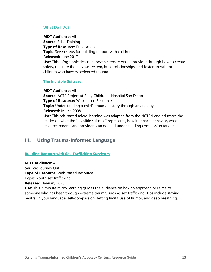# **[What Do I Do?](https://www.echoparenting.org/dev/wp-content/uploads/2018/07/Echo_TI-Support-for-Children-Web-8x11.pdf)**

**MDT Audience:** All **Source:** Echo Training **Type of Resource:** Publication **Topic**: Seven steps for building rapport with children **Released:** June 2017 **Use:** This infographic describes seven steps to walk a provider through how to create safety, regulate the nervous system, build relationships, and foster growth for children who have experienced trauma.

## **[The Invisible Suitcase](https://www.canva.com/design/DAEOdNCh_ko/3baGCQJGCl6y8TMojHvulg/view?utm_content=DAEOdNCh_ko&utm_campaign=designshare&utm_medium=link&utm_source=publishsharelink)**

**MDT Audience:** All **Source:** ACTS Project at Rady Children's Hospital San Diego **Type of Resource:** Web-based Resource **Topic:** Understanding a child's trauma history through an analogy **Released:** March 2008 **Use:** This self-paced micro-learning was adapted from the NCTSN and educates the reader on what the "invisible suitcase" represents, how it impacts behavior, what resource parents and providers can do, and understanding compassion fatigue.

# <span id="page-13-0"></span>**III. Using Trauma-Informed Language**

# **[Building Rapport with Sex Trafficking Survivors](https://youtu.be/Bqz1Si10-_Q)**

**MDT Audience:** All **Source:** Journey Out **Type of Resource:** Web-based Resource **Topic:** Youth sex trafficking **Released:** January 2020 **Use:** This 7-minute micro-learning guides the audience on how to approach or relate to

someone who has been through extreme trauma, such as sex trafficking. Tips include staying neutral in your language, self-compassion, setting limits, use of humor, and deep breathing.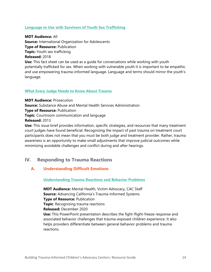# **[Language to Use with Survivors of Youth Sex Trafficking](http://iofa.org/wp-content/uploads/2017/05/IOFA-Trauma-Informed-Language.pdf)**

**MDT Audience:** All **Source:** International Organization for Adolescents **Type of Resource:** Publication **Topic:** Youth sex trafficking **Released:** 2018 **Use:** This fact sheet can be used as a guide for conversations while working with youth potentially trafficked for sex. When working with vulnerable youth it is important to be empathic and use empowering trauma-informed language. Language and terms should mirror the youth's language.

# **[What Every Judge Needs to Know About Trauma](https://nasmhpd.org/sites/default/files/DRAFT_Essential_Components_of_Trauma_Informed_Judicial_Practice.pdf)**

**MDT Audience:** Prosecution **Source:** Substance Abuse and Mental Health Services Administration **Type of Resource:** Publication **Topic**: Courtroom communication and language **Released:** 2013 **Use:** This issue brief provides information, specific strategies, and resources that many treatment court judges have found beneficial. Recognizing the impact of past trauma on treatment court participants does not mean that you must be both judge and treatment provider. Rather, trauma awareness is an opportunity to make small adjustments that improve judicial outcomes while

minimizing avoidable challenges and conflict during and after hearings.

# <span id="page-14-0"></span>**IV. Responding to Trauma Reactions**

# <span id="page-14-1"></span>**A. Understanding Difficult Emotions**

**[Understanding Trauma Reactions and Behavior Problems](https://www.actsproject.com/public/uploads/ckeditor/5f9073772ca131603302263.pdf)**

**MDT Audience:** Mental Health, Victim Advocacy, CAC Staff **Source:** Advancing California's Trauma-Informed Systems **Type of Resource:** Publication **Topic**: Recognizing trauma reactions **Released:** December 2020 **Use:** This PowerPoint presentation describes the fight-flight-freeze response and associated behavior challenges that trauma-exposed children experience. It also helps providers differentiate between general behavior problems and trauma reactions.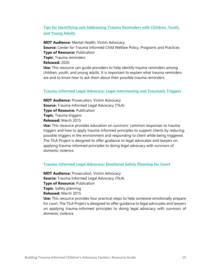# **[Tips for Identifying and Addressing Trauma Reminders with Children, Youth,](https://www.actsproject.com/public/uploads/ckeditor/5f907399467361603302297.pdf)  [and Young Adults](https://www.actsproject.com/public/uploads/ckeditor/5f907399467361603302297.pdf)**

**MDT Audience:** Mental Health, Victim Advocacy **Source:** Center for Trauma Informed Child Welfare Policy, Programs and Practices **Type of Resource:** Publication **Topic**: Trauma reminders **Released:** 2020 **Use:** This resource can guide providers to help identify trauma reminders among children, youth, and young adults. It is important to explain what trauma reminders are and to know how to ask them about their possible trauma reminders.

#### **[Trauma-Informed Legal Advocacy: Legal Interviewing and Traumatic Triggers](http://www.nationalcenterdvtraumamh.org/wp-content/uploads/2013/08/TILA_Traumatic_TriggersApr22.pdf)**

**MDT Audience:** Prosecution, Victim Advocacy **Source:** Trauma-Informed Legal Advocacy (TILA) **Type of Resource:** Publication **Topic**: Trauma triggers **Released:** March 2015 **Use:** This resource provides education on survivors' common responses to trauma

triggers and how to apply trauma-informed principles to support clients by reducing possible triggers in the environment and responding to client while being triggered. The TILA Project is designed to offer guidance to legal advocates and lawyers on applying trauma-informed principles to doing legal advocacy with survivors of domestic violence.

#### **[Trauma-Informed Legal Advocacy: Emotional Safety Planning for Court](http://www.nationalcenterdvtraumamh.org/wp-content/uploads/2013/08/TILA_PreparingforCourt_MH_Apr22doc.pdf)**

**MDT Audience: Prosecution, Victim Advocacy Source:** Trauma-Informed Legal Advocacy (TILA) **Type of Resource:** Publication **Topic**: Safety planning **Released:** March 2015 **Use:** This resource provides four practical steps to help someone emotionally prepare for court. The TILA Project is designed to offer guidance to legal advocates and lawyers on applying trauma-informed principles to doing legal advocacy with survivors of domestic violence.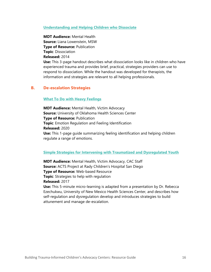### **[Understanding and Helping Children who Dissociate](http://lianalowenstein.com/articleProfDissociation.pdf)**

**MDT Audience:** Mental Health **Source:** Liana Lowenstein, MSW **Type of Resource:** Publication **Topic**: Dissociation **Released:** 2014 **Use:** This 3-page handout describes what dissociation looks like in children who have experienced trauma and provides brief, practical, strategies providers can use to respond to dissociation. While the handout was developed for therapists, the information and strategies are relevant to all helping professionals.

# <span id="page-16-0"></span>**B. De-escalation Strategies**

## **[What To Do with Heavy Feelings](https://www.actsproject.com/public/uploads/ckeditor/5fb6f8a0a5f951605826720.pdf)**

**MDT Audience:** Mental Health, Victim Advocacy **Source:** University of Oklahoma Health Sciences Center **Type of Resource:** Publication **Topic**: Emotion Regulation and Feeling Identification **Released:** 2020 **Use:** This 1-page guide summarizing feeling identification and helping children regulate a range of emotions.

#### **[Simple Strategies for Intervening with Traumatized and Dysregulated Youth](https://www.canva.com/design/DAEOd9_f7xU/Hy6esFy-ULseU6_-QUx4Xw/view?utm_content=DAEOd9_f7xU&utm_campaign=designshare&utm_medium=link&utm_source=recording_view)**

**MDT Audience:** Mental Health, Victim Advocacy, CAC Staff **Source:** ACTS Project at Rady Children's Hospital San Diego **Type of Resource:** Web-based Resource **Topic**: Strategies to help with regulation **Released:** 2017

**Use:** This 5-minute micro-learning is adapted from a presentation by Dr. Rebecca Ezechukwu, University of New Mexico Health Sciences Center, and describes how self-regulation and dysregulation develop and introduces strategies to build attunement and manage de-escalation.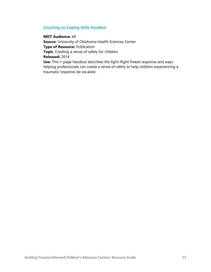# **[Coaching on Coping Skills Handout](https://oklahomatfcbt.org/wp-content/uploads/2020/09/Coaching-on-Coping-Skills.pdf)**

**MDT Audience:** All **Source:** University of Oklahoma Health Sciences Center **Type of Resource:** Publication **Topic**: Creating a sense of safety for children **Released:** 2014 **Use:** This 1-page handout describes the fight-flight-freeze response and ways helping professionals can create a sense of safety to help children experiencing a traumatic response de-escalate.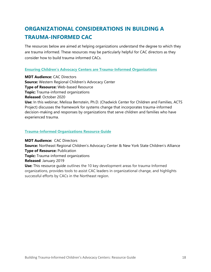# <span id="page-18-0"></span>**ORGANIZATIONAL CONSIDERATIONS IN BUILDING A TRAUMA-INFORMED CAC**

The resources below are aimed at helping organizations understand the degree to which they are trauma informed. These resources may be particularly helpful for CAC directors as they consider how to build trauma-informed CACs.

# **[Ensuring Children's Advocacy Centers are Trauma](http://www.westernregionalcac.org/training/webinars/)-Informed Organizations**

**MDT Audience:** CAC Directors **Source:** Western Regional Children's Advocacy Center **Type of Resource:** Web-based Resource **Topic:** Trauma-informed organizations **Released**: October 2020 **Use:** In this webinar, Melissa Bernstein, Ph.D. (Chadwick Center for Children and Families, ACTS Project) discusses the framework for systems change that incorporates trauma-informed decision-making and responses by organizations that serve children and families who have experienced trauma.

# **[Trauma-Informed Organizations Resource Guide](http://www.nrcac.org/wp-content/uploads/2021/06/trauma-informed-organizations-guide-2021.pdf)**

**MDT Audience:** CAC Directors **Source:** Northeast Regional Children's Advocacy Center & New York State Children's Alliance **Type of Resource:** Publication **Topic:** Trauma-informed organizations **Released**: January 2019 **Use:** This resource guide outlines the 10 key development areas for trauma-Informed organizations, provides tools to assist CAC leaders in organizational change, and highlights successful efforts by CACs in the Northeast region.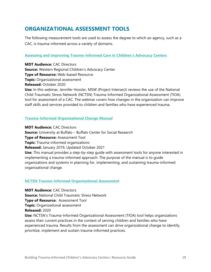# <span id="page-19-0"></span>**ORGANIZATIONAL ASSESSMENT TOOLS**

The following measurement tools are used to assess the degree to which an agency, such as a CAC, is trauma-informed across a variety of domains.

# **[Assessing and Improving Trauma-Informed Care in Children's Advocacy Centers](http://www.westernregionalcac.org/training/webinars/)**

**MDT Audience:** CAC Directors **Source:** Western Regional Children's Advocacy Center **Type of Resource:** Web-based Resource **Topic:** Organizational assessment **Released:** October 2020 **Use:** In this webinar, Jennifer Hossler, MSW (Project Intersect) reviews the use of the National Child Traumatic Stress Network (NCTSN) Trauma-Informed Organizational Assessment (TIOA) tool for assessment of a CAC. The webinar covers how changes in the organization can improve staff skills and services provided to children and families who have experienced trauma.

# **[Trauma-Informed Organizational Change Manual](http://socialwork.buffalo.edu/social-research/institutes-centers/institute-on-trauma-and-trauma-informed-care/Trauma-Informed-Organizational-Change-Manual0.html)**

**MDT Audience:** CAC Directors **Source:** University at Buffalo – Buffalo Center for Social Research **Type of Resource:** Assessment Tool **Topic:** Trauma-informed organizations **Released:** January 2019, Updated October 2021 **Use:** This manual provides a step-by-step guide with assessment tools for anyone interested in implementing a trauma-informed approach. The purpose of the manual is to guide organizations and systems in planning for, implementing, and sustaining trauma-informed organizational change.

# **[NCTSN Trauma-Informed Organizational Assessment](https://www.nctsn.org/trauma-informed-care/nctsn-trauma-informed-organizational-assessment)**

**MDT Audience:** CAC Directors **Source:** National Child Traumatic Stress Network **Type of Resource:** Assessment Tool **Topic:** Organizational assessment **Released:** 2020 **Use:** NCTSN's Trauma-Informed Organizational Assessment (TIOA) tool helps organizations assess their current practices in the context of serving children and families who have experienced trauma. Results from the assessment can drive organizational change to identify, prioritize, implement and sustain trauma-informed practices.